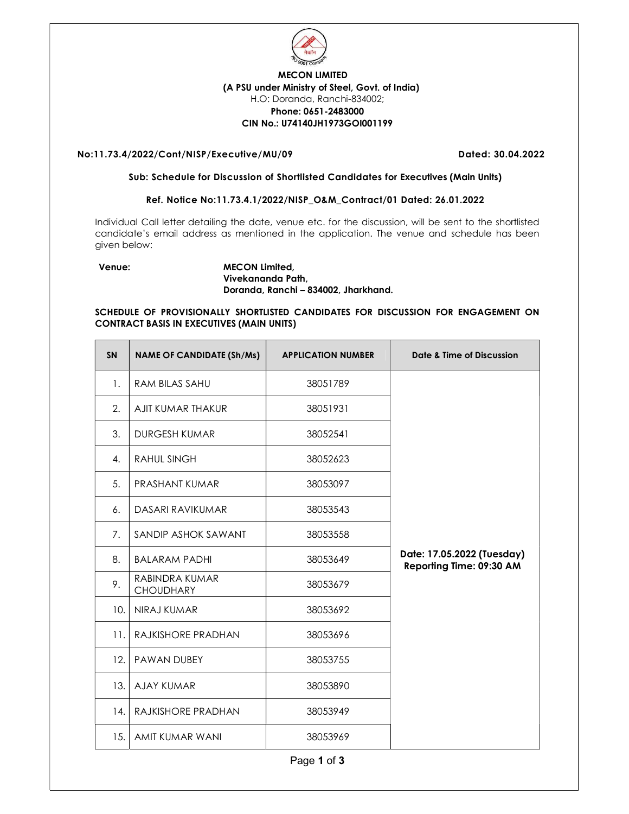

# MECON LIMITED (A PSU under Ministry of Steel, Govt. of India) H.O: Doranda, Ranchi-834002; Phone: 0651-2483000 CIN No.: U74140JH1973GOI001199

## No:11.73.4/2022/Cont/NISP/Executive/MU/09 Dated: 30.04.2022

#### Sub: Schedule for Discussion of Shortlisted Candidates for Executives (Main Units)

## Ref. Notice No:11.73.4.1/2022/NISP\_O&M\_Contract/01 Dated: 26.01.2022

Individual Call letter detailing the date, venue etc. for the discussion, will be sent to the shortlisted candidate's email address as mentioned in the application. The venue and schedule has been given below:

## Venue: MECON Limited, Vivekananda Path, Doranda, Ranchi – 834002, Jharkhand.

## SCHEDULE OF PROVISIONALLY SHORTLISTED CANDIDATES FOR DISCUSSION FOR ENGAGEMENT ON CONTRACT BASIS IN EXECUTIVES (MAIN UNITS)

| <b>SN</b> | <b>NAME OF CANDIDATE (Sh/Ms)</b>   | <b>APPLICATION NUMBER</b> | Date & Time of Discussion                              |
|-----------|------------------------------------|---------------------------|--------------------------------------------------------|
| 1.        | <b>RAM BILAS SAHU</b>              | 38051789                  |                                                        |
| 2.        | AJIT KUMAR THAKUR                  | 38051931                  |                                                        |
| 3.        | <b>DURGESH KUMAR</b>               | 38052541                  |                                                        |
| 4.        | <b>RAHUL SINGH</b>                 | 38052623                  |                                                        |
| 5.        | PRASHANT KUMAR                     | 38053097                  |                                                        |
| 6.        | DASARI RAVIKUMAR                   | 38053543                  |                                                        |
| 7.        | SANDIP ASHOK SAWANT                | 38053558                  |                                                        |
| 8.        | <b>BALARAM PADHI</b>               | 38053649                  | Date: 17.05.2022 (Tuesday)<br>Reporting Time: 09:30 AM |
| 9.        | RABINDRA KUMAR<br><b>CHOUDHARY</b> | 38053679                  |                                                        |
| 10.       | NIRAJ KUMAR                        | 38053692                  |                                                        |
| 11.       | RAJKISHORE PRADHAN                 | 38053696                  |                                                        |
| 12.       | <b>PAWAN DUBEY</b>                 | 38053755                  |                                                        |
| 13.       | <b>AJAY KUMAR</b>                  | 38053890                  |                                                        |
| 14.       | RAJKISHORE PRADHAN                 | 38053949                  |                                                        |
| 15.       | AMIT KUMAR WANI                    | 38053969                  |                                                        |

Page 1 of 3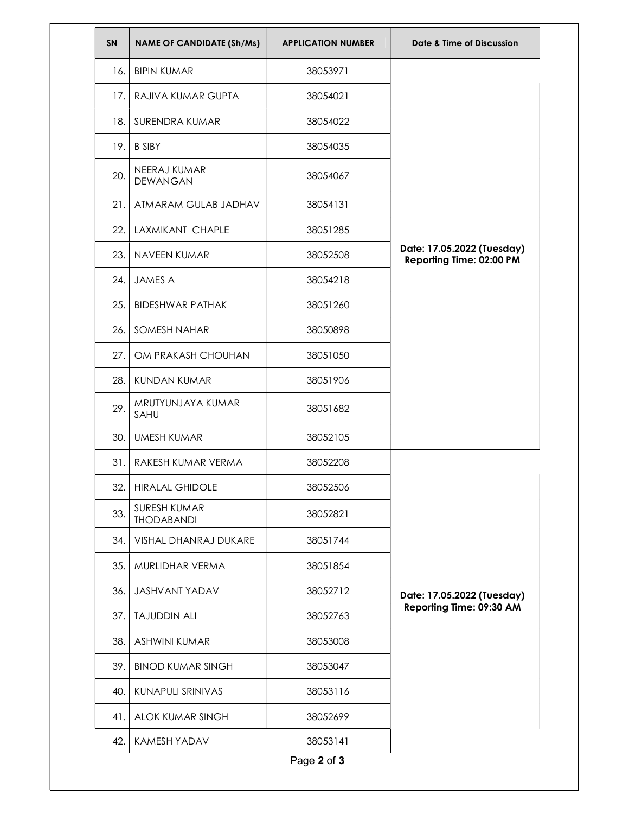| SN    | <b>NAME OF CANDIDATE (Sh/Ms)</b>         | <b>APPLICATION NUMBER</b> | Date & Time of Discussion                              |
|-------|------------------------------------------|---------------------------|--------------------------------------------------------|
| 16.   | <b>BIPIN KUMAR</b>                       | 38053971                  | Date: 17.05.2022 (Tuesday)<br>Reporting Time: 02:00 PM |
| 17.1  | RAJIVA KUMAR GUPTA                       | 38054021                  |                                                        |
| 18. I | SURENDRA KUMAR                           | 38054022                  |                                                        |
| 19.1  | <b>B SIBY</b>                            | 38054035                  |                                                        |
| 20.   | NEERAJ KUMAR<br><b>DEWANGAN</b>          | 38054067                  |                                                        |
| 21.   | ATMARAM GULAB JADHAV                     | 38054131                  |                                                        |
| 22.   | LAXMIKANT CHAPLE                         | 38051285                  |                                                        |
| 23.   | NAVEEN KUMAR                             | 38052508                  |                                                        |
| 24.   | <b>JAMES A</b>                           | 38054218                  |                                                        |
| 25.   | <b>BIDESHWAR PATHAK</b>                  | 38051260                  |                                                        |
| 26.   | SOMESH NAHAR                             | 38050898                  |                                                        |
| 27.   | OM PRAKASH CHOUHAN                       | 38051050                  |                                                        |
| 28.   | <b>KUNDAN KUMAR</b>                      | 38051906                  |                                                        |
| 29.   | MRUTYUNJAYA KUMAR<br>SAHU                | 38051682                  |                                                        |
| 30.   | <b>UMESH KUMAR</b>                       | 38052105                  |                                                        |
| 31.1  | RAKESH KUMAR VERMA                       | 38052208                  |                                                        |
|       | 32. HIRALAL GHIDOLE                      | 38052506                  |                                                        |
| 33.   | <b>SURESH KUMAR</b><br><b>THODABANDI</b> | 38052821                  |                                                        |
| 34.   | VISHAL DHANRAJ DUKARE                    | 38051744                  | Date: 17.05.2022 (Tuesday)<br>Reporting Time: 09:30 AM |
| 35.   | MURLIDHAR VERMA                          | 38051854                  |                                                        |
| 36.   | JASHVANT YADAV                           | 38052712                  |                                                        |
| 37.   | <b>TAJUDDIN ALI</b>                      | 38052763                  |                                                        |
| 38.   | ASHWINI KUMAR                            | 38053008                  |                                                        |
| 39.   | <b>BINOD KUMAR SINGH</b>                 | 38053047                  |                                                        |
| 40.   | KUNAPULI SRINIVAS                        | 38053116                  |                                                        |
| 41.   | ALOK KUMAR SINGH                         | 38052699                  |                                                        |
|       | <b>KAMESH YADAV</b>                      | 38053141                  |                                                        |